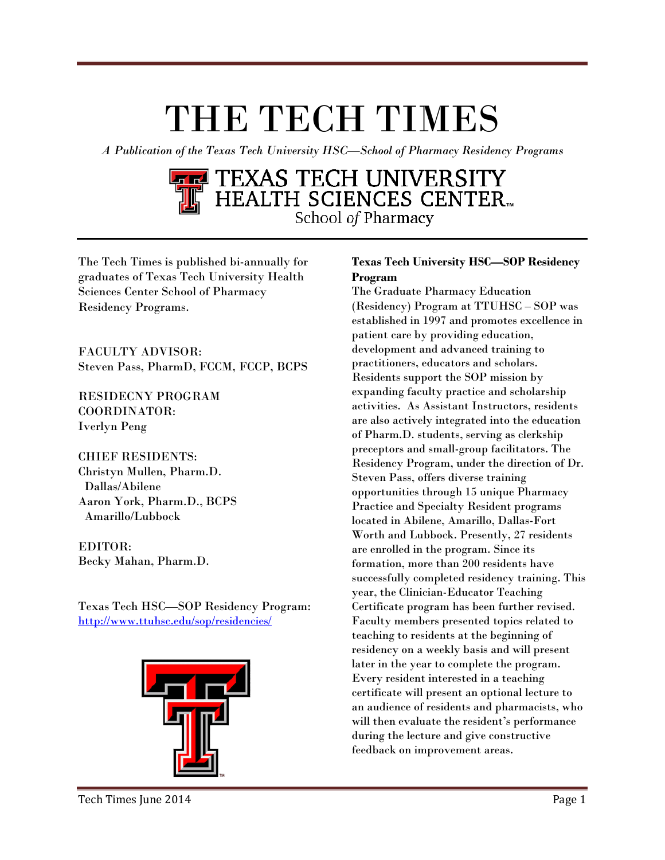# THE TECH TIMES

<u>(Type the document title)</u>

*A Publication of the Texas Tech University HSC—School of Pharmacy Residency Programs*

## TEXAS TECH UNIVERSITY<br>HEALTH SCIENCES CENTER. School of Pharmacy

The Tech Times is published bi-annually for graduates of Texas Tech University Health Sciences Center School of Pharmacy Residency Programs.

FACULTY ADVISOR: Steven Pass, PharmD, FCCM, FCCP, BCPS

RESIDECNY PROGRAM COORDINATOR: Iverlyn Peng

CHIEF RESIDENTS: Christyn Mullen, Pharm.D. Dallas/Abilene Aaron York, Pharm.D., BCPS Amarillo/Lubbock

EDITOR: Becky Mahan, Pharm.D.

Texas Tech HSC—SOP Residency Program: <http://www.ttuhsc.edu/sop/residencies/>



#### **Texas Tech University HSC—SOP Residency Program**

The Graduate Pharmacy Education (Residency) Program at TTUHSC – SOP was established in 1997 and promotes excellence in patient care by providing education, development and advanced training to practitioners, educators and scholars. Residents support the SOP mission by expanding faculty practice and scholarship activities. As Assistant Instructors, residents are also actively integrated into the education of Pharm.D. students, serving as clerkship preceptors and small-group facilitators. The Residency Program, under the direction of Dr. Steven Pass, offers diverse training opportunities through 15 unique Pharmacy Practice and Specialty Resident programs located in Abilene, Amarillo, Dallas-Fort Worth and Lubbock. Presently, 27 residents are enrolled in the program. Since its formation, more than 200 residents have successfully completed residency training. This year, the Clinician-Educator Teaching Certificate program has been further revised. Faculty members presented topics related to teaching to residents at the beginning of residency on a weekly basis and will present later in the year to complete the program. Every resident interested in a teaching certificate will present an optional lecture to an audience of residents and pharmacists, who will then evaluate the resident's performance during the lecture and give constructive feedback on improvement areas.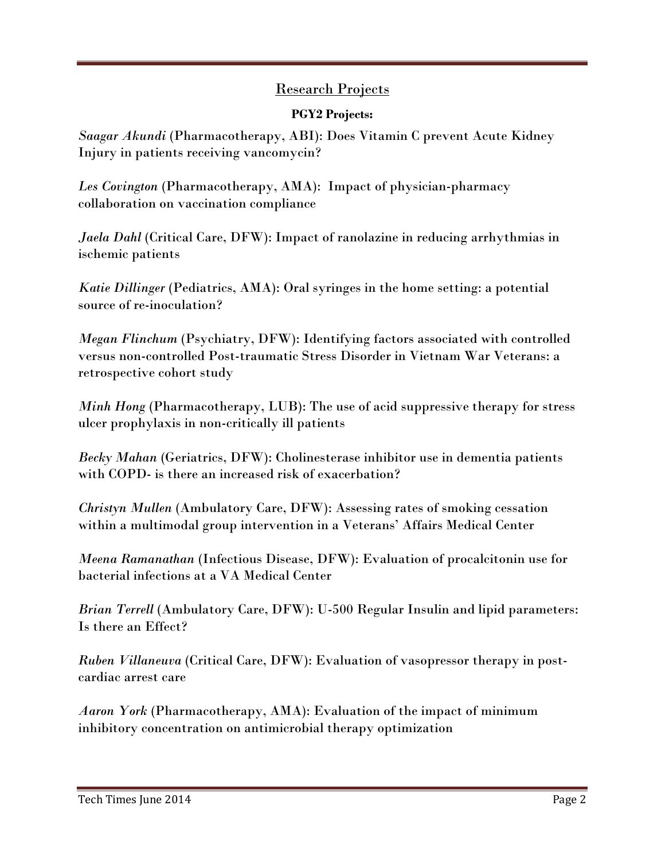#### Research Projects

<u>(Type the document title)</u>

#### **PGY2 Projects:**

*Saagar Akundi* (Pharmacotherapy, ABI): Does Vitamin C prevent Acute Kidney Injury in patients receiving vancomycin?

*Les Covington* (Pharmacotherapy, AMA): Impact of physician-pharmacy collaboration on vaccination compliance

*Jaela Dahl* (Critical Care, DFW): Impact of ranolazine in reducing arrhythmias in ischemic patients

*Katie Dillinger* (Pediatrics, AMA): Oral syringes in the home setting: a potential source of re-inoculation?

*Megan Flinchum* (Psychiatry, DFW): Identifying factors associated with controlled versus non-controlled Post-traumatic Stress Disorder in Vietnam War Veterans: a retrospective cohort study

*Minh Hong* (Pharmacotherapy, LUB): The use of acid suppressive therapy for stress ulcer prophylaxis in non-critically ill patients

*Becky Mahan* (Geriatrics, DFW): Cholinesterase inhibitor use in dementia patients with COPD- is there an increased risk of exacerbation?

*Christyn Mullen* (Ambulatory Care, DFW): Assessing rates of smoking cessation within a multimodal group intervention in a Veterans' Affairs Medical Center

*Meena Ramanathan* (Infectious Disease, DFW): Evaluation of procalcitonin use for bacterial infections at a VA Medical Center

*Brian Terrell* (Ambulatory Care, DFW): U-500 Regular Insulin and lipid parameters: Is there an Effect?

*Ruben Villaneuva* (Critical Care, DFW): Evaluation of vasopressor therapy in postcardiac arrest care

*Aaron York* (Pharmacotherapy, AMA): Evaluation of the impact of minimum inhibitory concentration on antimicrobial therapy optimization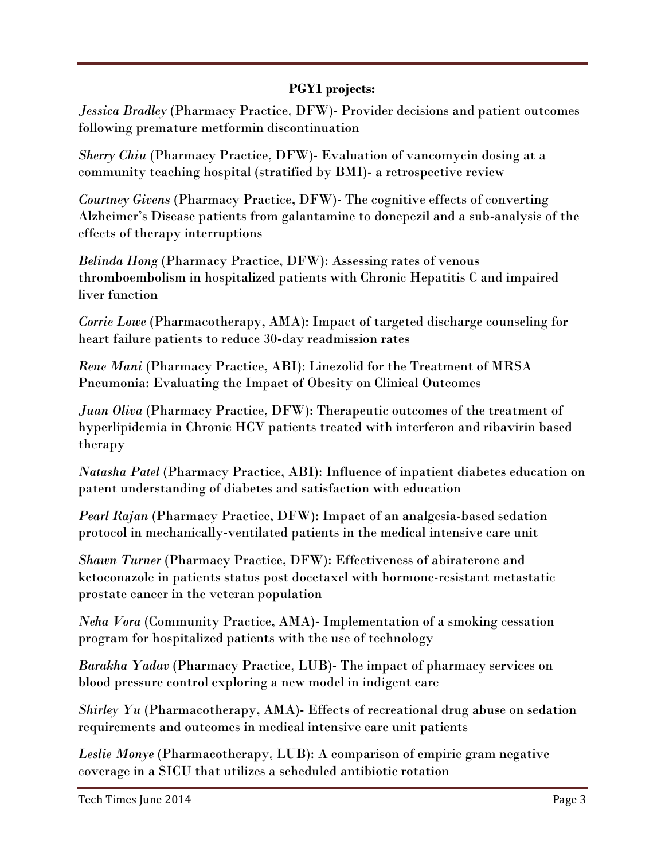#### **PGY1 projects:**

<u>(Type the document title)</u>

*Jessica Bradley* (Pharmacy Practice, DFW)- Provider decisions and patient outcomes following premature metformin discontinuation

*Sherry Chiu* (Pharmacy Practice, DFW)- Evaluation of vancomycin dosing at a community teaching hospital (stratified by BMI)- a retrospective review

*Courtney Givens* (Pharmacy Practice, DFW)- The cognitive effects of converting Alzheimer's Disease patients from galantamine to donepezil and a sub-analysis of the effects of therapy interruptions

*Belinda Hong* (Pharmacy Practice, DFW): Assessing rates of venous thromboembolism in hospitalized patients with Chronic Hepatitis C and impaired liver function

*Corrie Lowe* (Pharmacotherapy, AMA): Impact of targeted discharge counseling for heart failure patients to reduce 30-day readmission rates

*Rene Mani* (Pharmacy Practice, ABI): Linezolid for the Treatment of MRSA Pneumonia: Evaluating the Impact of Obesity on Clinical Outcomes

*Juan Oliva* (Pharmacy Practice, DFW): Therapeutic outcomes of the treatment of hyperlipidemia in Chronic HCV patients treated with interferon and ribavirin based therapy

*Natasha Patel* (Pharmacy Practice, ABI): Influence of inpatient diabetes education on patent understanding of diabetes and satisfaction with education

*Pearl Rajan* (Pharmacy Practice, DFW): Impact of an analgesia-based sedation protocol in mechanically-ventilated patients in the medical intensive care unit

*Shawn Turner* (Pharmacy Practice, DFW): Effectiveness of abiraterone and ketoconazole in patients status post docetaxel with hormone-resistant metastatic prostate cancer in the veteran population

*Neha Vora* (Community Practice, AMA)- Implementation of a smoking cessation program for hospitalized patients with the use of technology

*Barakha Yadav* (Pharmacy Practice, LUB)- The impact of pharmacy services on blood pressure control exploring a new model in indigent care

*Shirley Yu* (Pharmacotherapy, AMA)- Effects of recreational drug abuse on sedation requirements and outcomes in medical intensive care unit patients

*Leslie Monye* (Pharmacotherapy, LUB): A comparison of empiric gram negative coverage in a SICU that utilizes a scheduled antibiotic rotation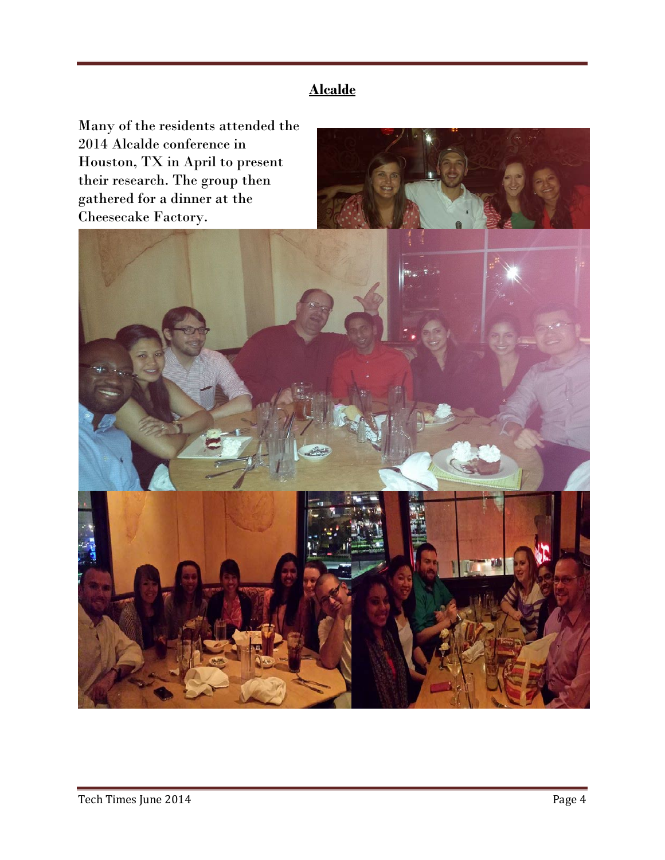**Alcalde**

<u>(Type the document title)</u>

Many of the residents attended the 2014 Alcalde conference in Houston, TX in April to present their research. The group then gathered for a dinner at the Cheesecake Factory.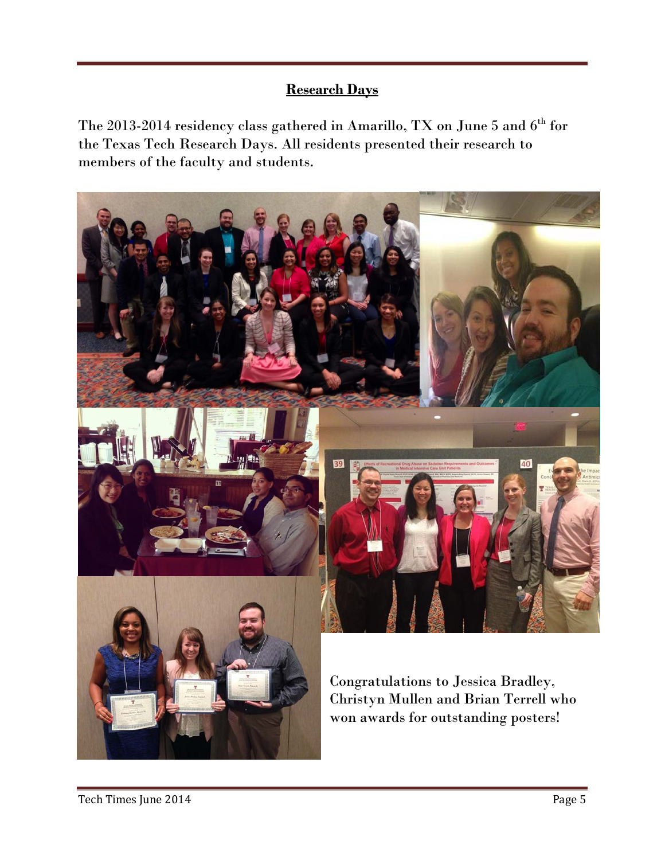#### **Research Days**

<u>(Type the document title)</u>

The 2013-2014 residency class gathered in Amarillo, TX on June 5 and  $6^{\rm th}$  for the Texas Tech Research Days. All residents presented their research to members of the faculty and students.

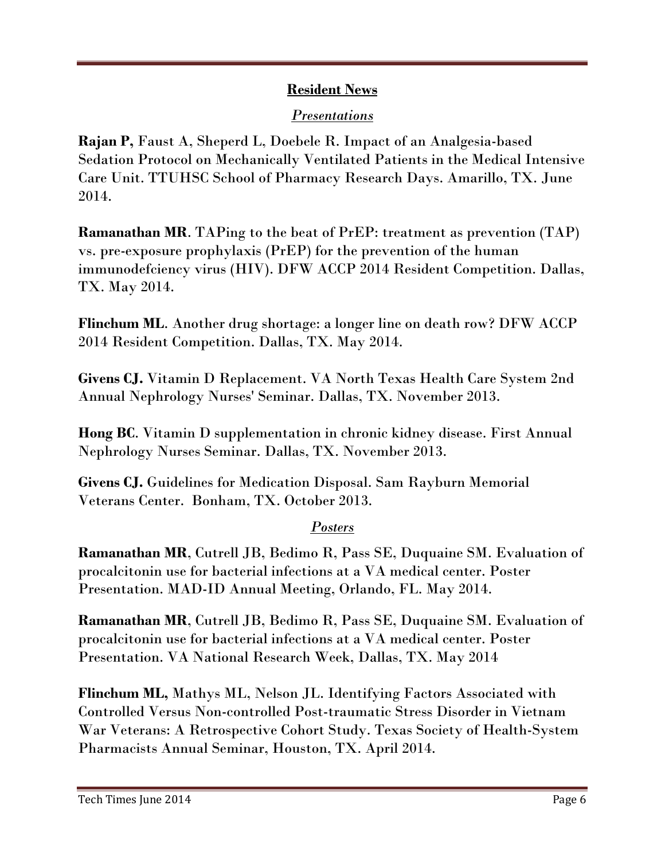#### **Resident News**

<u>(Type the document title)</u>

#### *Presentations*

**Rajan P,** Faust A, Sheperd L, Doebele R. Impact of an Analgesia-based Sedation Protocol on Mechanically Ventilated Patients in the Medical Intensive Care Unit. TTUHSC School of Pharmacy Research Days. Amarillo, TX. June 2014.

**Ramanathan MR**. TAPing to the beat of PrEP: treatment as prevention (TAP) vs. pre-exposure prophylaxis (PrEP) for the prevention of the human immunodefciency virus (HIV). DFW ACCP 2014 Resident Competition. Dallas, TX. May 2014.

**Flinchum ML**. Another drug shortage: a longer line on death row? DFW ACCP 2014 Resident Competition. Dallas, TX. May 2014.

**Givens CJ.** Vitamin D Replacement. VA North Texas Health Care System 2nd Annual Nephrology Nurses' Seminar. Dallas, TX. November 2013.

**Hong BC**. Vitamin D supplementation in chronic kidney disease. First Annual Nephrology Nurses Seminar. Dallas, TX. November 2013.

**Givens CJ.** Guidelines for Medication Disposal. Sam Rayburn Memorial Veterans Center. Bonham, TX. October 2013.

#### *Posters*

**Ramanathan MR**, Cutrell JB, Bedimo R, Pass SE, Duquaine SM. Evaluation of procalcitonin use for bacterial infections at a VA medical center. Poster Presentation. MAD-ID Annual Meeting, Orlando, FL. May 2014.

**Ramanathan MR**, Cutrell JB, Bedimo R, Pass SE, Duquaine SM. Evaluation of procalcitonin use for bacterial infections at a VA medical center. Poster Presentation. VA National Research Week, Dallas, TX. May 2014

**Flinchum ML,** Mathys ML, Nelson JL. Identifying Factors Associated with Controlled Versus Non-controlled Post-traumatic Stress Disorder in Vietnam War Veterans: A Retrospective Cohort Study. Texas Society of Health-System Pharmacists Annual Seminar, Houston, TX. April 2014.